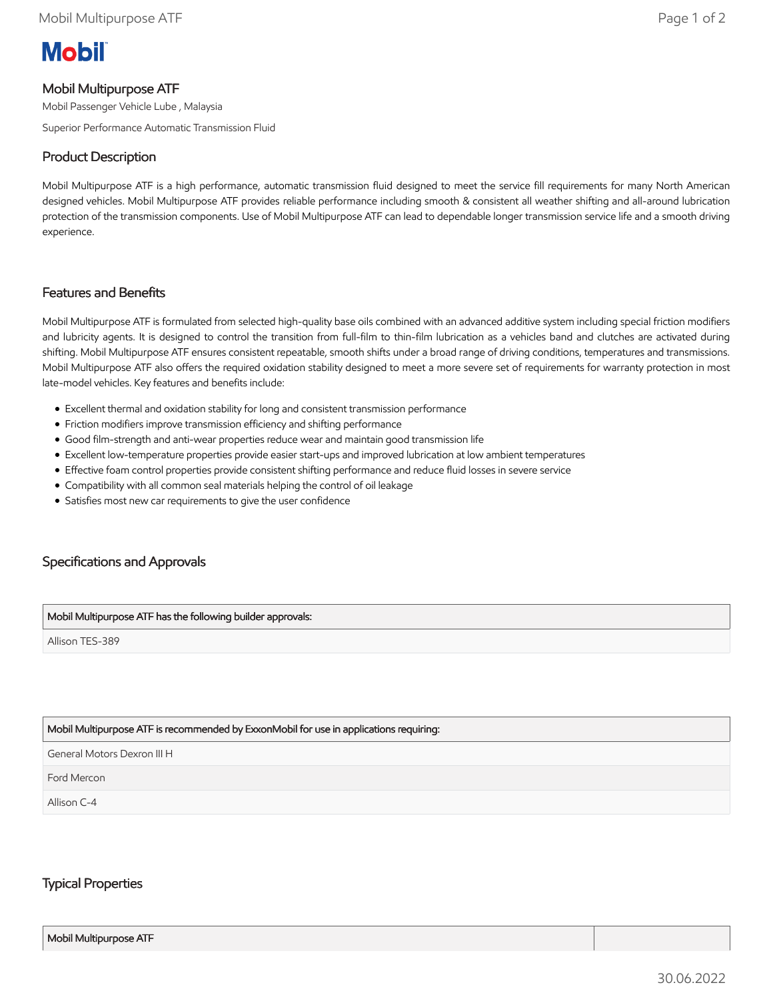# **Mobil**

# Mobil Multipurpose ATF

Mobil Passenger Vehicle Lube , Malaysia

Superior Performance Automatic Transmission Fluid

## Product Description

Mobil Multipurpose ATF is a high performance, automatic transmission fluid designed to meet the service fill requirements for many North American designed vehicles. Mobil Multipurpose ATF provides reliable performance including smooth & consistent all weather shifting and all-around lubrication protection of the transmission components. Use of Mobil Multipurpose ATF can lead to dependable longer transmission service life and a smooth driving experience.

### Features and Benefits

Mobil Multipurpose ATF is formulated from selected high-quality base oils combined with an advanced additive system including special friction modifiers and lubricity agents. It is designed to control the transition from full-film to thin-film lubrication as a vehicles band and clutches are activated during shifting. Mobil Multipurpose ATF ensures consistent repeatable, smooth shifts under a broad range of driving conditions, temperatures and transmissions. Mobil Multipurpose ATF also offers the required oxidation stability designed to meet a more severe set of requirements for warranty protection in most late-model vehicles. Key features and benefits include:

- Excellent thermal and oxidation stability for long and consistent transmission performance
- Friction modifiers improve transmission efficiency and shifting performance
- Good film-strength and anti-wear properties reduce wear and maintain good transmission life
- Excellent low-temperature properties provide easier start-ups and improved lubrication at low ambient temperatures
- Effective foam control properties provide consistent shifting performance and reduce fluid losses in severe service
- Compatibility with all common seal materials helping the control of oil leakage
- Satisfies most new car requirements to give the user confidence

# Specifications and Approvals

#### Mobil Multipurpose ATF has the following builder approvals:

Allison TES-389

#### Mobil Multipurpose ATF is recommended by ExxonMobil for use in applications requiring:

General Motors Dexron III H

Ford Mercon

Allison C-4

## Typical Properties